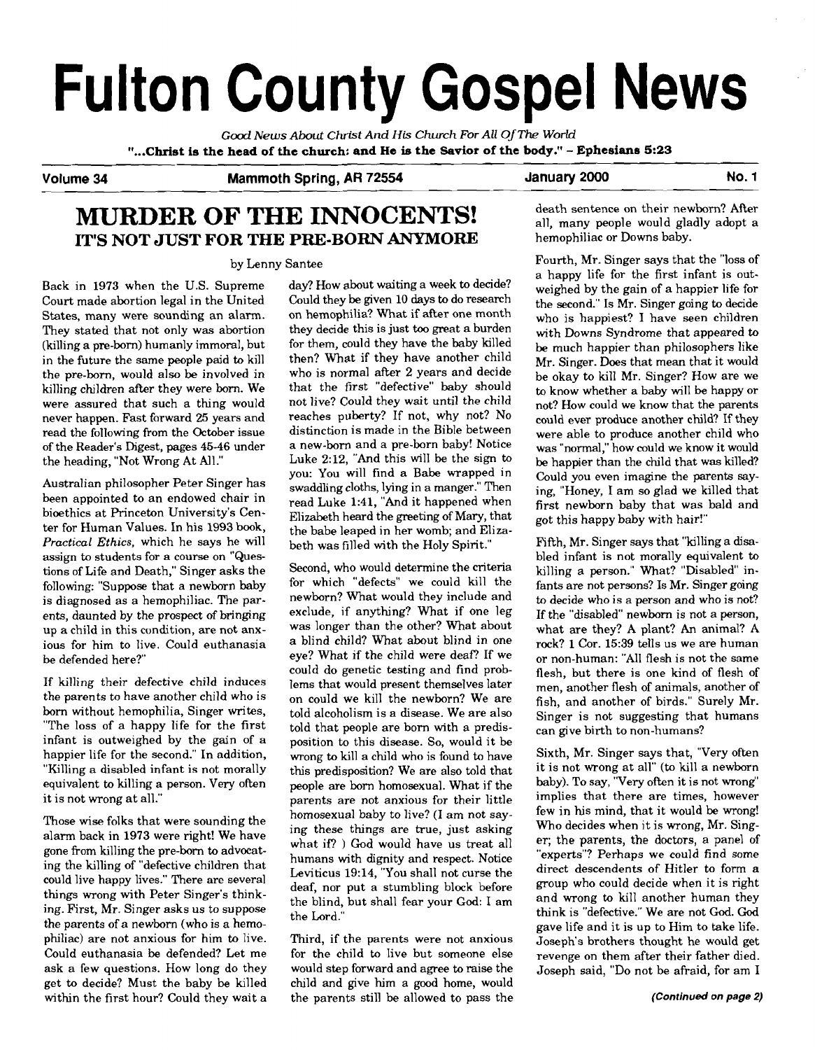# Fulton County Gospel News

*Good News About* **Christ** *And* **His** *Church For All* **Of** *The World*  **"...Christ is the head of the church: and He is the Savior of the body."** - **Ephesians 5:23** 

## Volume 34 Mammoth Spring, AR 72554 January 2000 No. 1

## **MURDER OF THE INNOCENTS! IT'S NOT JUST FOR THE PRE-BORN ANYMORE**

#### by Lenny Santee

Back in 1973 when the U.S. Supreme Court made abortion legal in the United States, many were sounding an alarm. They stated that not only was abortion (killing a pre-born) humanly immoral, but in the future the same people paid to kill the pre-born, would also be involved in killing children after they were born. We were assured that such a thing would never happen. Fast forward 25 years and read the following from the October issue of the Reader's Digest, pages 45-46 under the heading, "Not Wrong At All."

Australian philosopher Peter Singer has been appointed to an endowed chair in bioethics at Princeton University's Center for Human Values. In his 1993 **book,**  *Practical Ethics.* which he says he will assign to students for a course on "Questions of Life and Death," Singer asks the following: "Suppose that a newborn baby is diagnosed as a hemophiliac. The parents, daunted by the prospect of bringing up a child in this condition, are not anxious for him to live. Could euthanasia be defended here?"

If killing their defective child induces the parents to have another child who is born without hemophilia, Singer writes, "The loss of a happy life for the first infant is outweighed by the gain of a happier life for the second." In addition, "Killing a disabled infant is not morally equivalent to killing a person. Very often it is not wrong at all."

Those wise folks that were sounding the alarm back in 1973 were right! We have gone from killing the pre-born to advocating the killing of "defective children that could live happy lives." There are several things wrong with Peter Singer's thinking. First, Mr. Singer asks us to suppose the parents of a newborn (who is a hemophiliac) are not anxious for him to live. Third, if the parents were not anxious Could euthanasia be defended? Let me for the child to live but someone else ask a few questions. How long do they would step forward and agree to raise the get to decide? Must the baby be killed child and give him a good home, would within the first hour? Could they wait a the parents still be allowed to pass the

day? How about waiting a week to decide? Could they be given 10 days to do research on hemophilia? What if after one month they decide this is just too great a burden for them, could they have the baby killed then? What if they have another child who is normal after 2 years and decide that the first "defective" baby should not live? Could they wait until the child reaches puberty? If not, why not? No distinction is made in the Bible between a new-born and a pre-born baby! Notice Luke 2:12, "And this will be the sign to you: You will find a Babe wrapped in swaddling cloths, lying in a manger." Then read Luke 1:41, "And it happened when Elizabeth heard the greeting of Mary, that the babe leaped in her womb; and Elizabeth was filled with the Holy Spirit."

Second, who would determine the criteria for which "defects" we could kill the newborn? What would they include and exclude, if anything? What if one leg was longer than the other? What about a blind child? What about blind in one eve? What if the child were deaf? If we could do genetic testing and find problems that would present themselves later on could we kill the newborn? We are told alcoholism is a disease. We are also told that people are born with a predisposition to this disease. So, would it be wrong to kill a child who is found to have this predisposition? We are also told that people are born homosexual. What if the parents are not anxious for their little homosexual baby to live? (I am not saying these things are true, just asking what if? ) God would have us treat all humans with dignity and respect. Notice Leviticus 19:14, "You shall not curse the deaf, nor put a stumbling block before the blind, but shall fear your **God:** I am the Lord."

death sentence on their newborn? After all, many people would gladly adopt a hemophiliac or Downs baby.

Fourth, Mr. Singer says that the "loss of a happy life for the first infant is outweighed by the gain of a happier life for the second." Is Mr. Singer going to decide who is happiest? I have seen children with Downs Syndrome that appeared to be much happier than philosophers like Mr. Singer. Does that mean that it would be okay to kill Mr. Singer? How are we **to** know whether a baby will be happy or not? How could we know that the parents could ever produce another child? If they were able to produce another child who was "normal," how could we know it would be happier than the child that was killed? could you even imagine the parents saying, "Honey, 1 am so glad we killed that first newborn baby that was bald and got this happy baby with hair!"

Fifth, Mr. Singer says that "killing a disabled infant is not morally equivalent to killing a person." What? "Disabled" infants are not persons? Is Mr. Singer going to decide who is a person and who is not? If the "disabled" newborn is not a person, what are they? A plant? An animal? A rock? 1 Cor. 15:39 tells us we are human or non-human: "All flesh is not the same flesh, but there is one kind of flesh of men, another flesh of animals, another of fish, and another of birds." Surely Mr. Singer is not suggesting that humans can give birth to non-humans?

Sixth, Mr. Singer says that, "Very often it is not wrong at all" (to kill a newborn baby). To say, "Very often it is not wrong" implies that there are times, however few in his mind, that it would be wrong! Who decides when it is wrong, Mr. Singer; the parents, the doctors, a panel of "experts"? Perhaps we could find some direct descendents of Hitler to form a group who could decide when it is right and wrong **to** kill another human they think is "defective." We are not God. God gave life and it is up to Him to take life. Joseph's brothers thought he would get revenge on them after their father died. Joseph said, "Do not be afraid, for am I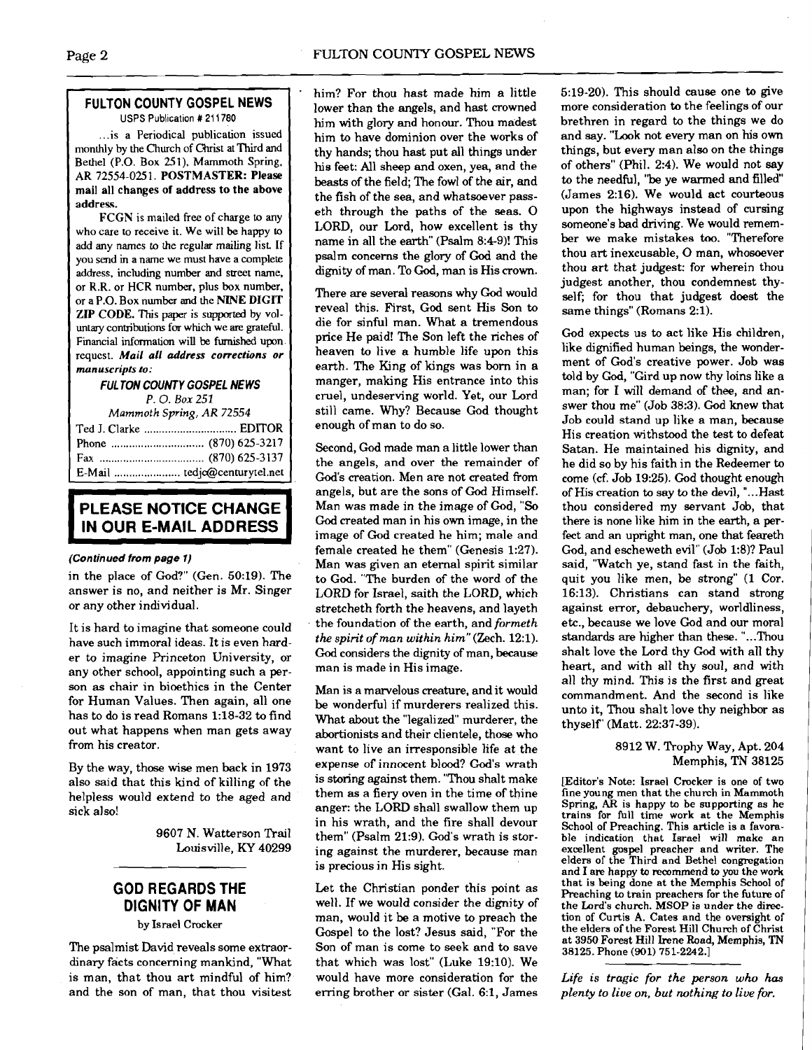#### **FULTON COUNTY GOSPEL NEWS**  USPS Publication # 211780

.. .is a Periodical publication issued monthly by the Church of Christ at Third and Bethel (P.O. Box 251). Mammoth Spring, AR 72554-025 1. POSTMASTER: Please mail all changes of address to the above addresq.

FCGN is mailed free of charge to any who care to receive it. We will be happy **to**  add any names to the regular mailing list If you send in a name we must have a complete address, including number and street name, or R.R. or HCR number, plus **box** number, or a P.O. Box number and the NINE DIGIT ZIP CODE. This paper is supported by voluntary contributions for which we are grateful. Financial information will be furnished upon request. **Mail all address corrections or manuscripts to:** 

#### **FUL TON COUNTY GOSPEL NEWS**

**P.** 0. **Box** *<sup>251</sup>*

| Mammoth Spring, AR 72554 |  |  |
|--------------------------|--|--|
|                          |  |  |
|                          |  |  |
|                          |  |  |
|                          |  |  |

## **PLEASE NOTICE CHANGE IN OUR E-MAIL ADDRESS**

#### **(Continued from page 1)**

in the place of God?" (Gen. 50:19). The answer is no, and neither is Mr. Singer or any other individual.

It is hard to imagine that someone could have such immoral ideas. It is even harder to imagine Princeton University, or any other school, appointing such a person as chair in bioethics in the Center for Human Values. Then again, all one has to do is read Romans 1:18-32 to find out what happens when man gets away from his creator.

By the way, those wise men back in 1973 also said that this kind of killing of the helpless would extend to the aged and sick also!

> 9607 N. Watterson Trail Louisville, **KY** 40299

## **GOD REGARDS THE DIGNITY OF MAN**

#### by Israel Crocker

The psalmist David reveals some extraordinary facts concerning mankind, "What is man, that thou art mindful of him? and the son of man, that thou visitest

him? For thou hast made him a little lower than the angels, and hast crowned him with glory and honour. Thou madest him to have dominion over the works of thy hands; thou hast put all things under his feet: All sheep and oxen, yea, and the beasts of the field; The fowl of the air, and the fish of the sea, and whatsoever passeth through the paths of the seas. 0 LORD, our Lord, how excellent is thy name in all the earth" (Psalm 8:4-9)! This psalm concerns the glory of God and the dignity of man. To God, man is His crown.

There are several reasons why God would reveal this. First, God sent His Son to die for sinful man. What a tremendous price He paid! The Son left the riches of heaven to live a humble life upon this earth. The King of kings was born in a manger, making His entrance into this cruel, undeserving world. Yet, our Lord still came. Why? Because God thought enough of man to do so.

Second, God made man a little lower than the angels, and over the remainder of God's creation. Men are not created from angels, but are the sons of God Himself. Man was made in the image of Cod, "So God created man in his own image, in the image of God created he him; male and female created he them" (Genesis 1:27). Man was given an eternal spirit similar to God. "The burden of the word of the LORD for Israel, saith the LORD, which stretcheth forth the heavens, and layeth the foundation of the earth, and *formeth the spirit of* **man** *within himf'(Zech.* 12:l). *God* considers the dignity of man, because man is made in His image.

Man is a marvelous creature, and it would be wonderful if murderers realized this. What about the "legalized" murderer, the abortionists and their clientele, those who want to live an irresponsible life at the expense of innocent blood? God's wrath is storing against them. "Thou shalt make them as a fiery oven in the time of thine anger: the LORD shall swallow them up in his wrath, and the fire shall devour them" (Psalm 21:9). God's wrath is storing against the murderer, because man is precious in His sight.

Let the Christian ponder this point as well. If we would consider the dignity of man, would it be a motive to preach the Gospel to the lost? Jesus said, "For the Son of man is come to seek and to save that which was lost" (Luke 19:lO). We would have more consideration for the erring brother or sister (Gal. 6:1, James

5:19-20). This should cause one to give more consideration to the feelings of our brethren in regard to the things we do and say. "Look not every man on his own things, but every man also on the things of others" (Phil. 2:4). We would not say to the needful, "be ye warmed and filled (James 2:16). We would act courteous upon the highways instead of cursing someone's bad driving. We would remember we make mistakes too. "Therefore thou art inexcusable, 0 man, whosoever thou art that judgest: for wherein thou judgest another, thou condemnest thyself; for thou that judgest doest the same things" (Romans 2:l).

God expects us to act like His children, like dignified human beings, the wonderment of God's creative power. Job was told by God, "Gird up now thy loins like a man; for I will demand of thee, and answer thou me" (Job 38:3). God knew that Job could stand up like a man, because His creation withstood the test to defeat Satan. He maintained his dignity, and he did so by his faith in the Redeemer to come (cf. Job 19:25). God thought enough of His creation to say to the devil, "... Hast thou considered my servant Job, that there is none like him in the earth, a perfect and an upright man, one that feareth God, and escheweth evil" (Job 1:8)? Paul said, "Watch ye, stand fast in the faith, quit you like men, be strong" (1 Cor. 16:13). Christians can stand strong against error, debauchery, worldliness, etc., because we love God and our moral standards are higher than these. "...Thou shalt love the Lord thy God with all thy heart, and with all thy soul, and with all thy mind. This is the first and great commandment. And the second is like unto it, Thou shalt love thy neighbor as thyself' (Matt. 22:37-39).

#### 8912 W. Trophy Way, Apt. 204 Memphis, TN 38125

[Editor's Note: Israel Crocker is one of two fine young men that the church in Mammoth Spring, **AR** is happy **to** be supporting as he School of Preaching. This article is a favorable indication that Israel will make an excellent gospel preacher and writer. The elders of the Third and Bethel congregation<br>and I are happy to recommend to you the work and I are happy to recommend to you the work<br>that is being done at the Memphis School of Preaching to train preachers for the future of the Lord's church. MSOP is under the direction of Curtis A. Cates and the oversight of the elders of the Forest Hill Church of Christ at **3950** Forest Hill Irene Road, Memphis, **TN 38125.** Phone **(901) 751-2242.]** 

*Life is tragic for the person* **who** *has plenty to live on, but nothing to live for.*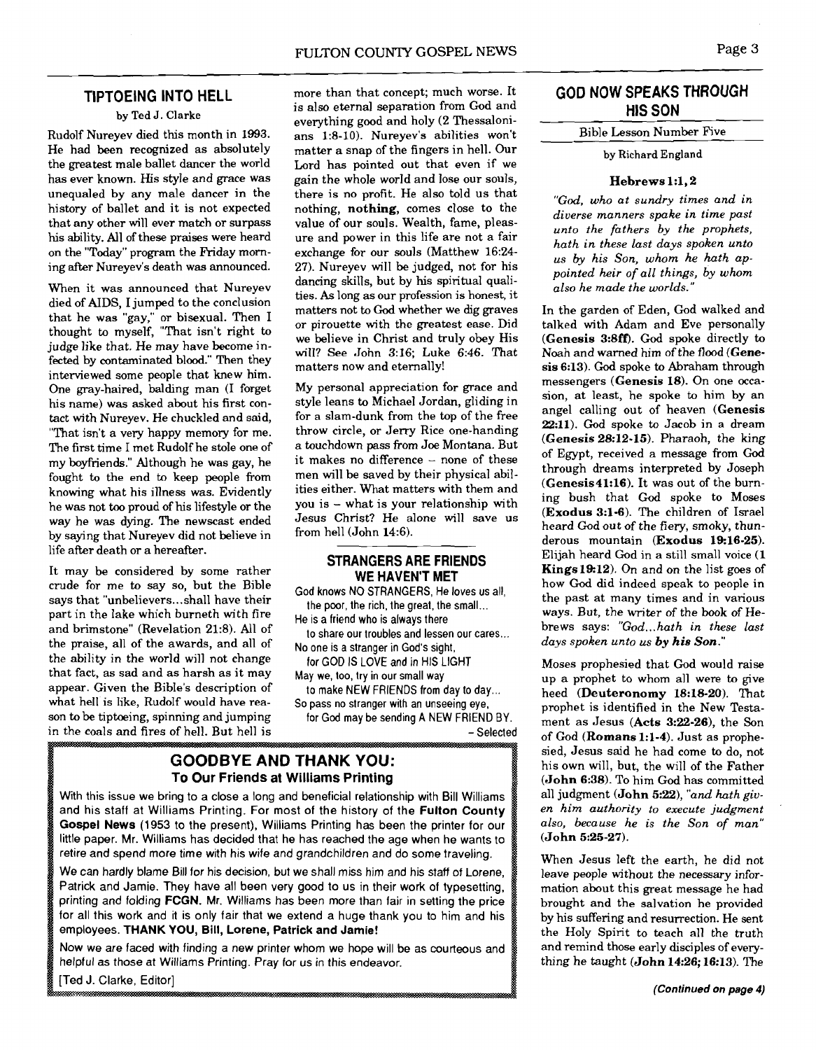#### **TIPTOEING INTO HELL**

#### **by** Ted **J.** Clarke

Rudolf Nureyev died this month in 1993. He had been recognized as absolutely the greatest male ballet dancer the world has ever known. His style and grace was unequaled by any male dancer in the history of ballet and it is not expected that any other will ever match or surpass his ability. All of these praises were heard on the "Today" program the Friday morning after Nureyev's death was announced.

When it was announced that Nureyev died of AIDS, I jumped to the conclusion that he was "gay," or bisexual. Then I thought to myself, "That isn't right to judge like that. He may have become infected by contaminated blood." Then they interviewed some people that knew him. One gray-haired, balding man (I forget his name) was asked about his first contact with Nureyev. He chuckled and said, "That isn't a very happy memory for me. The first time I met Rudolf he stole one of my boyfriends." Although he was gay, he fought to the end to keep people from knowing what his illness was. Evidently he was not too proud of his lifestyle or the way he was dying. The newscast ended by saying that Nureyev did not believe in life after death or a hereafter.

It may be considered by some rather crude for me to say so, but the Bible says that "unbelievers ... shall have their part in the lake which burneth with fire and brimstone" (Revelation 21:8). All of the praise, all of the awards, and all of the ability in the world will not change that fact, as sad and as harsh as it may appear. Given the Bible's description of what hell is like, Rudolf would have reason to be tiptoeing, spinning and jumping in the coals and fires of hell. But hell is more than that concept; much worse. It is also eternal separation from God and everything good and holy (2 Thessalonians 123-10). Nureyev's abilities won't matter a snap of the fingers in hell. Our Lord has pointed out that even if we gain the whole world and lose our souls, there is no profit. He also told us that nothing, nothing, comes close to the value of our souls. Wealth, fame, pleasure and power in this life are not a fair exchange for our souls (Matthew 16:24- 27). Nureyev will be judged, not for his dancing skills, but by his spiritual qualities. As long as our profession is honest, it matters not to God whether we dig graves or pirouette with the greatest ease. Did we believe in Christ and truly obey His will? See John 3:16; Luke 6:46. That matters now and eternally!

My personal appreciation for grace and style leans to Michael Jordan, gliding in for a slam-dunk from the top of the free throw circle, or Jerry Rice one-handing a touchdown pass from Joe Montana. But it makes no difference  $-$  none of these men will be saved by their physical abilities either. What matters with them and you is - what is your relationship with Jesus Christ? He alone will save us from hell (John 14:6).

#### **STRANGERS ARE FRIENDS WE HAVEN'T MET**

**God knows NO STRANGERS, He loves us all, the poor, the rich, the great, the small** ...

**He is a friend who is always there** 

**to share our troubles and lessen our cares** ... **No one is a stranger in God's sight,** 

**for GOD IS LOVE and in HIS LIGHT May we, too, try in our small way** 

**to make NEW FRIENDS from day to day** ... **So pass no stranger with an unseeing eye,** 

**for God may be sending A NEW FRIEND BY.**  - **Selected** 

**GOODBYE AND THANK YOU: To Our Friends at Williams Printing** 

**With this issue we bring to a close a long and beneficial relationship with Bill Williams and his staff at Williams Printing. For most of the history of the** Fulton County Gospel News (1953 **to the present), Williams Printing has been the printer for our little paper. Mr. Williams has decided that he has reached the age when he wants to retire and spend more time with his wife and grandchildren and do some traveling.** 

**We can hardly blame Bill for his decision, but we shall miss him and his staff of Lorene, Patrick and Jamie. They have all been very good to us in their work of typesetting, printing and folding** FCGN. **Mr. Williams has been more than fair in setting the price for all this work and it is only fair that we extend a huge thank you to him and his employees. THANK YOU,** Bill, Lorene, Patrick and Jamie!

**Now we are faced with finding a new printer whom we hope will be as courteous and helpful as those at Williams Printing. Pray for us in this endeavor.** 

[Ted J. Clarke, Editor]

## **GOD NOW SPEAKS THROUGH HIS SON**

### Bible Lesson Number Five

**by** Richard England

#### Hebrews 1:1,2

*"God, who at sundry times and in diverse manners spake in time past unto the fathers by the prophets, hath in these last days spoken unto us by his Son, whom he hath appointed heir of all things, by whom also he made the worlds."* 

In the garden of Eden, God walked and talked with Adam and Eve personally (Genesis 3:8ff). God spoke directly to Noah and warned him of the **flood** (Genesis 6:13). God spoke to Abraham through messengers (Genesis 18). On one occasion, at least, he spoke to him by an angel calling out of heaven (Genesis 22:ll). God spoke to Jacob in a dream (Genesis 28:12-15). Pharaoh, the king of Egypt, received a message from God through dreams interpreted by Joseph (Genesis41:16). It was out of the burning bush that God spoke to Moses (Exodus 3:l-6). The children of Israel heard God out of the fiery, smoky, thunderous mountain (Exodus 19:16-25). Elijah heard God in a still small voice (I Kings19:12). On and on the list goes of how God did indeed speak to people in the past at many times and in various ways. But, the writer of the book of Hebrews says: "God...hath in these last *days spoken unto us by his* **Son."** 

Moses prophesied that God would raise up a prophet to whom all were to give heed (Deuteronomy 18:18-20). That prophet is identified in the New Testament as Jesus  $(Acts 3:22-26)$ , the Son of God (Romans 1:l-4). Just as prophesied, Jesus said he had come to do, not his own will, but, the will of the Father (John 6:38). To him God has committed all judgment (**John 5:22**), "and hath giv*en him authority to execute judgment also, because he is the Son of man"*  (John 5:25-27).

When Jesus left the earth, he did not leave people without the necessary information about this great message he had brought and the salvation he provided by his suffering and resurrection. He sent the Holy Spirit to teach all the truth and remind those early disciples of everything he taught (John 14:26; 16:13). The